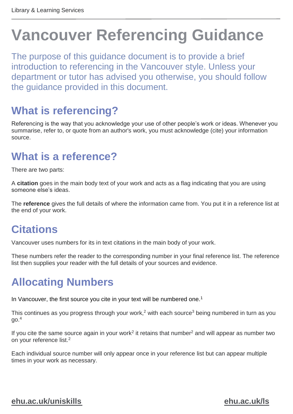# **Vancouver Referencing Guidance**

The purpose of this guidance document is to provide a brief introduction to referencing in the Vancouver style. Unless your department or tutor has advised you otherwise, you should follow the guidance provided in this document.

## **What is referencing?**

Referencing is the way that you acknowledge your use of other people's work or ideas. Whenever you summarise, refer to, or quote from an author's work, you must acknowledge (cite) your information source.

## **What is a reference?**

There are two parts:

A **citation** goes in the main body text of your work and acts as a flag indicating that you are using someone else's ideas.

The **reference** gives the full details of where the information came from. You put it in a reference list at the end of your work.

## **Citations**

Vancouver uses numbers for its in text citations in the main body of your work.

These numbers refer the reader to the corresponding number in your final reference list. The reference list then supplies your reader with the full details of your sources and evidence.

## **Allocating Numbers**

In Vancouver, the first source you cite in your text will be numbered one.<sup>1</sup>

This continues as you progress through your work,<sup>2</sup> with each source<sup>3</sup> being numbered in turn as you  $qo.<sup>4</sup>$ 

If you cite the same source again in your work<sup>2</sup> it retains that number<sup>2</sup> and will appear as number two on your reference list.<sup>2</sup>

Each individual source number will only appear once in your reference list but can appear multiple times in your work as necessary.

#### **[ehu.ac.uk/uniskills](file:///C:/Users/nolanj/AppData/Local/Microsoft/Windows/INetCache/Content.Outlook/LNOQ5CPD/ehu.ac.uk/uniskills) [ehu.ac.uk/ls](file:///C:/Users/nolanj/AppData/Local/Microsoft/Windows/INetCache/Content.Outlook/LNOQ5CPD/ehu.ac.uk/ls)**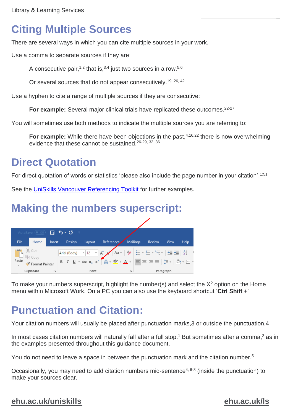## **Citing Multiple Sources**

There are several ways in which you can cite multiple sources in your work.

Use a comma to separate sources if they are:

A consecutive pair,  $1,2$  that is,  $3,4$  just two sources in a row.  $5,6$ 

Or several sources that do not appear consecutively.<sup>19, 26, 42</sup>

Use a hyphen to cite a range of multiple sources if they are consecutive:

**For example:** Several major clinical trials have replicated these outcomes.<sup>22-27</sup>

You will sometimes use both methods to indicate the multiple sources you are referring to:

**For example:** While there have been objections in the past,<sup>4,16,22</sup> there is now overwhelming evidence that these cannot be sustained.<sup>26-29, 32, 36</sup>

## **Direct Quotation**

For direct quotation of words or statistics 'please also include the page number in your citation'. 1:51

See the [UniSkills Vancouver Referencing Toolkit](https://learningedge.edgehill.ac.uk/bbcswebdav/institution/Learning%20Services/UniSkills/Vancouver%20Referencing/index.html) for further examples.

## **Making the numbers superscript:**



To make your numbers superscript, highlight the number(s) and select the  $X<sup>2</sup>$  option on the Home menu within Microsoft Work. On a PC you can also use the keyboard shortcut '**Ctrl Shift +**'

## **Punctuation and Citation:**

Your citation numbers will usually be placed after punctuation marks,3 or outside the punctuation.4

In most cases citation numbers will naturally fall after a full stop.<sup>1</sup> But sometimes after a comma,<sup>2</sup> as in the examples presented throughout this guidance document.

You do not need to leave a space in between the punctuation mark and the citation number.<sup>5</sup>

Occasionally, you may need to add citation numbers mid-sentence<sup>4, 6-8</sup> (inside the punctuation) to make your sources clear.

#### **[ehu.ac.uk/uniskills](file:///C:/Users/nolanj/AppData/Local/Microsoft/Windows/INetCache/Content.Outlook/LNOQ5CPD/ehu.ac.uk/uniskills) [ehu.ac.uk/ls](file:///C:/Users/nolanj/AppData/Local/Microsoft/Windows/INetCache/Content.Outlook/LNOQ5CPD/ehu.ac.uk/ls)**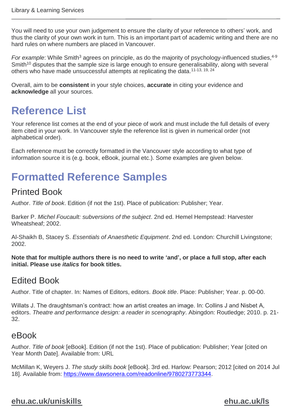You will need to use your own judgement to ensure the clarity of your reference to others' work, and thus the clarity of your own work in turn. This is an important part of academic writing and there are no hard rules on where numbers are placed in Vancouver.

*For example*: While Smith<sup>3</sup> agrees on principle, as do the majority of psychology-influenced studies, <sup>4-9</sup> Smith<sup>10</sup> disputes that the sample size is large enough to ensure generalisability, along with several others who have made unsuccessful attempts at replicating the data.<sup>11-13, 19, 24</sup>

Overall, aim to be **consistent** in your style choices, **accurate** in citing your evidence and **acknowledge** all your sources.

## **Reference List**

Your reference list comes at the end of your piece of work and must include the full details of every item cited in your work. In Vancouver style the reference list is given in numerical order (not alphabetical order).

Each reference must be correctly formatted in the Vancouver style according to what type of information source it is (e.g. book, eBook, journal etc.). Some examples are given below.

## **Formatted Reference Samples**

### Printed Book

Author. *Title of book*. Edition (if not the 1st). Place of publication: Publisher; Year.

Barker P. *Michel Foucault: subversions of the subject*. 2nd ed. Hemel Hempstead: Harvester Wheatsheaf; 2002.

Al-Shaikh B, Stacey S. *Essentials of Anaesthetic Equipment*. 2nd ed. London: Churchill Livingstone; 2002.

**Note that for multiple authors there is no need to write 'and', or place a full stop, after each initial. Please use** *italics* **for book titles.**

#### Edited Book

Author. Title of chapter. In: Names of Editors, editors. *Book title*. Place: Publisher; Year. p. 00-00.

Willats J. The draughtsman's contract: how an artist creates an image. In: Collins J and Nisbet A, editors. *Theatre and performance design: a reader in scenography*. Abingdon: Routledge; 2010. p. 21- 32.

#### eBook

Author. *Title of book* [eBook]. Edition (if not the 1st). Place of publication: Publisher; Year [cited on Year Month Date]. Available from: URL

McMillan K, Weyers J. *The study skills book* [eBook]. 3rd ed. Harlow: Pearson; 2012 [cited on 2014 Jul 18]. Available from: [https://www.dawsonera.com/readonline/9780273773344.](https://www.dawsonera.com/readonline/9780273773344)

#### **[ehu.ac.uk/uniskills](file:///C:/Users/nolanj/AppData/Local/Microsoft/Windows/INetCache/Content.Outlook/LNOQ5CPD/ehu.ac.uk/uniskills) [ehu.ac.uk/ls](file:///C:/Users/nolanj/AppData/Local/Microsoft/Windows/INetCache/Content.Outlook/LNOQ5CPD/ehu.ac.uk/ls)**